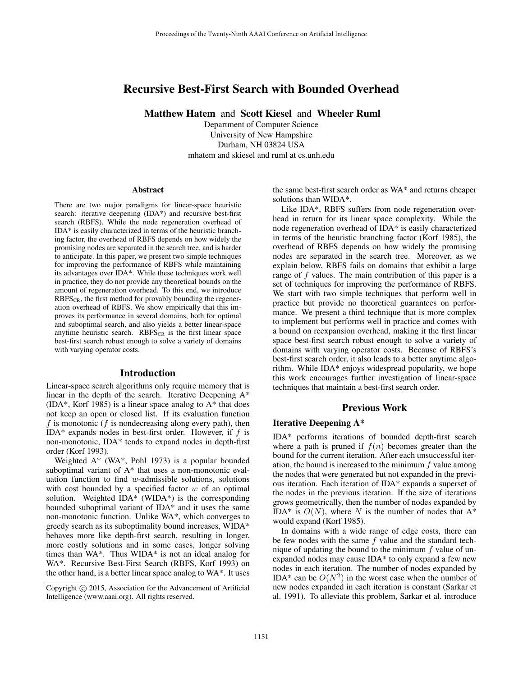# Recursive Best-First Search with Bounded Overhead

Matthew Hatem and Scott Kiesel and Wheeler Ruml

Department of Computer Science University of New Hampshire Durham, NH 03824 USA mhatem and skiesel and ruml at cs.unh.edu

#### Abstract

There are two major paradigms for linear-space heuristic search: iterative deepening (IDA\*) and recursive best-first search (RBFS). While the node regeneration overhead of IDA\* is easily characterized in terms of the heuristic branching factor, the overhead of RBFS depends on how widely the promising nodes are separated in the search tree, and is harder to anticipate. In this paper, we present two simple techniques for improving the performance of RBFS while maintaining its advantages over IDA\*. While these techniques work well in practice, they do not provide any theoretical bounds on the amount of regeneration overhead. To this end, we introduce  $RBFS_{CR}$ , the first method for provably bounding the regeneration overhead of RBFS. We show empirically that this improves its performance in several domains, both for optimal and suboptimal search, and also yields a better linear-space anytime heuristic search.  $RBFS_{CR}$  is the first linear space best-first search robust enough to solve a variety of domains with varying operator costs.

#### Introduction

Linear-space search algorithms only require memory that is linear in the depth of the search. Iterative Deepening A\* (IDA\*, Korf 1985) is a linear space analog to A\* that does not keep an open or closed list. If its evaluation function f is monotonic (f is nondecreasing along every path), then IDA\* expands nodes in best-first order. However, if  $f$  is non-monotonic, IDA\* tends to expand nodes in depth-first order (Korf 1993).

Weighted A\* (WA\*, Pohl 1973) is a popular bounded suboptimal variant of A\* that uses a non-monotonic evaluation function to find  $w$ -admissible solutions, solutions with cost bounded by a specified factor  $w$  of an optimal solution. Weighted IDA\* (WIDA\*) is the corresponding bounded suboptimal variant of IDA\* and it uses the same non-monotonic function. Unlike WA\*, which converges to greedy search as its suboptimality bound increases, WIDA\* behaves more like depth-first search, resulting in longer, more costly solutions and in some cases, longer solving times than WA\*. Thus WIDA\* is not an ideal analog for WA\*. Recursive Best-First Search (RBFS, Korf 1993) on the other hand, is a better linear space analog to WA\*. It uses

the same best-first search order as WA\* and returns cheaper solutions than WIDA\*.

Like IDA\*, RBFS suffers from node regeneration overhead in return for its linear space complexity. While the node regeneration overhead of IDA\* is easily characterized in terms of the heuristic branching factor (Korf 1985), the overhead of RBFS depends on how widely the promising nodes are separated in the search tree. Moreover, as we explain below, RBFS fails on domains that exhibit a large range of f values. The main contribution of this paper is a set of techniques for improving the performance of RBFS. We start with two simple techniques that perform well in practice but provide no theoretical guarantees on performance. We present a third technique that is more complex to implement but performs well in practice and comes with a bound on reexpansion overhead, making it the first linear space best-first search robust enough to solve a variety of domains with varying operator costs. Because of RBFS's best-first search order, it also leads to a better anytime algorithm. While IDA\* enjoys widespread popularity, we hope this work encourages further investigation of linear-space techniques that maintain a best-first search order.

## Previous Work

## Iterative Deepening A\*

IDA\* performs iterations of bounded depth-first search where a path is pruned if  $f(n)$  becomes greater than the bound for the current iteration. After each unsuccessful iteration, the bound is increased to the minimum  $f$  value among the nodes that were generated but not expanded in the previous iteration. Each iteration of IDA\* expands a superset of the nodes in the previous iteration. If the size of iterations grows geometrically, then the number of nodes expanded by IDA\* is  $O(N)$ , where N is the number of nodes that A\* would expand (Korf 1985).

In domains with a wide range of edge costs, there can be few nodes with the same  $f$  value and the standard technique of updating the bound to the minimum  $f$  value of unexpanded nodes may cause IDA\* to only expand a few new nodes in each iteration. The number of nodes expanded by IDA\* can be  $O(N^2)$  in the worst case when the number of new nodes expanded in each iteration is constant (Sarkar et al. 1991). To alleviate this problem, Sarkar et al. introduce

Copyright (c) 2015, Association for the Advancement of Artificial Intelligence (www.aaai.org). All rights reserved.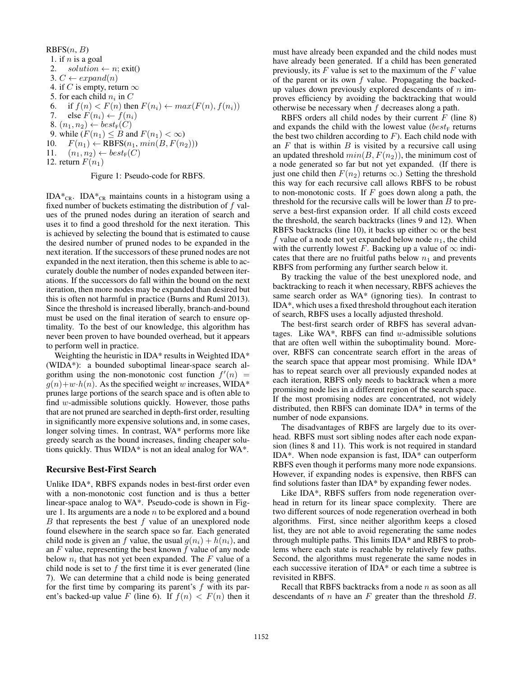RBFS(n, B)  
\n1. if n is a goal  
\n2. solution 
$$
\leftarrow n
$$
; exit()  
\n3.  $C \leftarrow expand(n)$   
\n4. if C is empty, return  $\infty$   
\n5. for each child  $n_i$  in C  
\n6. if  $f(n) < F(n)$  then  $F(n_i) \leftarrow max(F(n), f(n_i))$   
\n7. else  $F(n_i) \leftarrow f(n_i)$   
\n8.  $(n_1, n_2) \leftarrow best_F(C)$   
\n9. while  $(F(n_1) \leq B$  and  $F(n_1) < \infty)$   
\n10.  $F(n_1) \leftarrow RBFS(n_1, min(B, F(n_2)))$   
\n11.  $(n_1, n_2) \leftarrow best_F(C)$   
\n12. return  $F(n_1)$ 

Figure 1: Pseudo-code for RBFS.

IDA $*_{CR}$ . IDA $*_{CR}$  maintains counts in a histogram using a fixed number of buckets estimating the distribution of  $f$  values of the pruned nodes during an iteration of search and uses it to find a good threshold for the next iteration. This is achieved by selecting the bound that is estimated to cause the desired number of pruned nodes to be expanded in the next iteration. If the successors of these pruned nodes are not expanded in the next iteration, then this scheme is able to accurately double the number of nodes expanded between iterations. If the successors do fall within the bound on the next iteration, then more nodes may be expanded than desired but this is often not harmful in practice (Burns and Ruml 2013). Since the threshold is increased liberally, branch-and-bound must be used on the final iteration of search to ensure optimality. To the best of our knowledge, this algorithm has never been proven to have bounded overhead, but it appears to perform well in practice.

Weighting the heuristic in IDA\* results in Weighted IDA\* (WIDA\*): a bounded suboptimal linear-space search algorithm using the non-monotonic cost function  $f'(n)$  =  $g(n)+w\cdot h(n)$ . As the specified weight w increases, WIDA\* prunes large portions of the search space and is often able to find w-admissible solutions quickly. However, those paths that are not pruned are searched in depth-first order, resulting in significantly more expensive solutions and, in some cases, longer solving times. In contrast, WA\* performs more like greedy search as the bound increases, finding cheaper solutions quickly. Thus WIDA\* is not an ideal analog for WA\*.

#### Recursive Best-First Search

Unlike IDA\*, RBFS expands nodes in best-first order even with a non-monotonic cost function and is thus a better linear-space analog to WA\*. Pseudo-code is shown in Figure 1. Its arguments are a node  $n$  to be explored and a bound  $B$  that represents the best  $f$  value of an unexplored node found elsewhere in the search space so far. Each generated child node is given an f value, the usual  $g(n_i) + h(n_i)$ , and an  $F$  value, representing the best known  $f$  value of any node below  $n_i$  that has not yet been expanded. The  $F$  value of a child node is set to  $f$  the first time it is ever generated (line 7). We can determine that a child node is being generated for the first time by comparing its parent's  $f$  with its parent's backed-up value F (line 6). If  $f(n) < F(n)$  then it must have already been expanded and the child nodes must have already been generated. If a child has been generated previously, its  $F$  value is set to the maximum of the  $F$  value of the parent or its own  $f$  value. Propagating the backedup values down previously explored descendants of  $n$  improves efficiency by avoiding the backtracking that would otherwise be necessary when  $f$  decreases along a path.

RBFS orders all child nodes by their current  $F$  (line 8) and expands the child with the lowest value ( $best_F$  returns the best two children according to  $F$ ). Each child node with an  $F$  that is within  $B$  is visited by a recursive call using an updated threshold  $min(B, F(n_2))$ , the minimum cost of a node generated so far but not yet expanded. (If there is just one child then  $F(n_2)$  returns  $\infty$ .) Setting the threshold this way for each recursive call allows RBFS to be robust to non-monotonic costs. If  $F$  goes down along a path, the threshold for the recursive calls will be lower than  $B$  to preserve a best-first expansion order. If all child costs exceed the threshold, the search backtracks (lines 9 and 12). When RBFS backtracks (line 10), it backs up either  $\infty$  or the best  $f$  value of a node not yet expanded below node  $n_1$ , the child with the currently lowest F. Backing up a value of  $\infty$  indicates that there are no fruitful paths below  $n_1$  and prevents RBFS from performing any further search below it.

By tracking the value of the best unexplored node, and backtracking to reach it when necessary, RBFS achieves the same search order as WA\* (ignoring ties). In contrast to IDA\*, which uses a fixed threshold throughout each iteration of search, RBFS uses a locally adjusted threshold.

The best-first search order of RBFS has several advantages. Like WA\*, RBFS can find  $w$ -admissible solutions that are often well within the suboptimality bound. Moreover, RBFS can concentrate search effort in the areas of the search space that appear most promising. While IDA\* has to repeat search over all previously expanded nodes at each iteration, RBFS only needs to backtrack when a more promising node lies in a different region of the search space. If the most promising nodes are concentrated, not widely distributed, then RBFS can dominate IDA\* in terms of the number of node expansions.

The disadvantages of RBFS are largely due to its overhead. RBFS must sort sibling nodes after each node expansion (lines 8 and 11). This work is not required in standard IDA\*. When node expansion is fast, IDA\* can outperform RBFS even though it performs many more node expansions. However, if expanding nodes is expensive, then RBFS can find solutions faster than IDA\* by expanding fewer nodes.

Like IDA\*, RBFS suffers from node regeneration overhead in return for its linear space complexity. There are two different sources of node regeneration overhead in both algorithms. First, since neither algorithm keeps a closed list, they are not able to avoid regenerating the same nodes through multiple paths. This limits IDA\* and RBFS to problems where each state is reachable by relatively few paths. Second, the algorithms must regenerate the same nodes in each successive iteration of IDA\* or each time a subtree is revisited in RBFS.

Recall that RBFS backtracks from a node  $n$  as soon as all descendants of  $n$  have an  $F$  greater than the threshold  $B$ .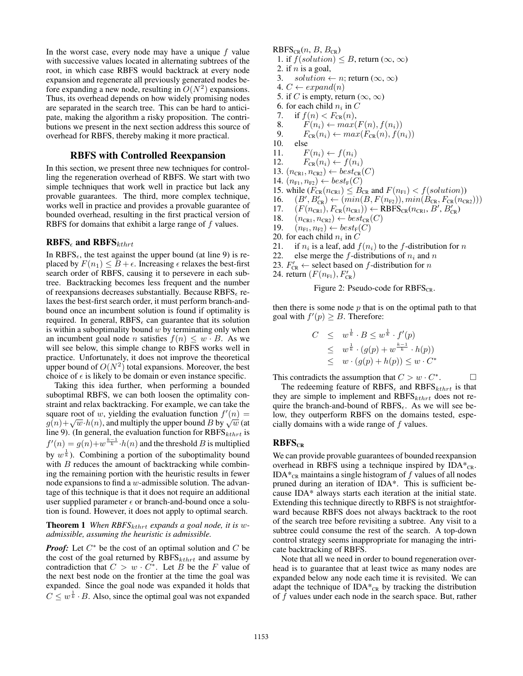In the worst case, every node may have a unique  $f$  value with successive values located in alternating subtrees of the root, in which case RBFS would backtrack at every node expansion and regenerate all previously generated nodes before expanding a new node, resulting in  $O(N^2)$  expansions. Thus, its overhead depends on how widely promising nodes are separated in the search tree. This can be hard to anticipate, making the algorithm a risky proposition. The contributions we present in the next section address this source of overhead for RBFS, thereby making it more practical.

## RBFS with Controlled Reexpansion

In this section, we present three new techniques for controlling the regeneration overhead of RBFS. We start with two simple techniques that work well in practice but lack any provable guarantees. The third, more complex technique, works well in practice and provides a provable guarantee of bounded overhead, resulting in the first practical version of RBFS for domains that exhibit a large range of  $f$  values.

### $RBFS_{\epsilon}$  and  $RBFS_{khrt}$

In RBFS<sub> $\epsilon$ </sub>, the test against the upper bound (at line 9) is replaced by  $F(n_1) \leq B + \epsilon$ . Increasing  $\epsilon$  relaxes the best-first search order of RBFS, causing it to persevere in each subtree. Backtracking becomes less frequent and the number of reexpansions decreases substantially. Because  $RBFS_{\epsilon}$  relaxes the best-first search order, it must perform branch-andbound once an incumbent solution is found if optimality is required. In general, RBFS<sub> $\epsilon$ </sub> can guarantee that its solution is within a suboptimality bound  $w$  by terminating only when an incumbent goal node *n* satisfies  $f(n) \leq w \cdot B$ . As we will see below, this simple change to RBFS works well in practice. Unfortunately, it does not improve the theoretical upper bound of  $O(N^2)$  total expansions. Moreover, the best choice of  $\epsilon$  is likely to be domain or even instance specific.

Taking this idea further, when performing a bounded suboptimal RBFS, we can both loosen the optimality constraint and relax backtracking. For example, we can take the square root of w, yielding the evaluation function  $f'(n) =$ square root of w, yielding the evaluation function  $f'(n) = g(n)+\sqrt{w} \cdot h(n)$ , and multiply the upper bound B by  $\sqrt{w}$  (at line 9). (In general, the evaluation function for  $RBFS_{kthrt}$  is  $f'(n) = g(n) + w^{\frac{k-1}{k}} \cdot h(n)$  and the threshold B is multiplied by  $w^{\frac{1}{k}}$ ). Combining a portion of the suboptimality bound with  $B$  reduces the amount of backtracking while combining the remaining portion with the heuristic results in fewer node expansions to find a  $w$ -admissible solution. The advantage of this technique is that it does not require an additional user supplied parameter  $\epsilon$  or branch-and-bound once a solution is found. However, it does not apply to optimal search.

#### **Theorem 1** When  $RBFS_{kthrt}$  expands a goal node, it is w*admissible, assuming the heuristic is admissible.*

*Proof:* Let  $C^*$  be the cost of an optimal solution and C be the cost of the goal returned by  $RBFS_{kthrt}$  and assume by contradiction that  $C > w \cdot C^*$ . Let B be the F value of the next best node on the frontier at the time the goal was expanded. Since the goal node was expanded it holds that  $C \leq w^{\frac{1}{k}} \cdot B$ . Also, since the optimal goal was not expanded

 $RBFS_{CR}(n, B, B_{CR})$ 1. if  $f(solution) \leq B$ , return  $(\infty, \infty)$ 2. if  $n$  is a goal, 3. solution  $\leftarrow n$ ; return  $(\infty, \infty)$ 4.  $C \leftarrow expand(n)$ 5. if C is empty, return  $(\infty, \infty)$ 6. for each child  $n_i$  in C 7. if  $f(n) < F_{CR}(n)$ , 8.  $F(n_i) \leftarrow max(F(n), f(n_i))$ <br>9.  $F_{\text{CR}}(n_i) \leftarrow max(F_{\text{CR}}(n), f(n_i))$ 9.  $F_{CR}(n_i) \leftarrow max(F_{CR}(n), f(n_i))$ <br>10. else else 11.  $F(n_i) \leftarrow f(n_i)$ 12.  $F_{CR}(n_i) \leftarrow f(n_i)$ 13.  $(n_{CR1}, n_{CR2}) \leftarrow best_{CR}(C)$ 14.  $(n_{\text{F1}}, n_{\text{F2}}) \leftarrow best_{\text{F}}(C)$ 15. while  $(F_{CR}(n_{CR}) \leq B_{CR}$  and  $F(n_{F1}) < f(solution)$ ) 16.  $(B', B'_{CR}) \leftarrow (min(B, F(n_{F2})), min(B_{CR}, F_{CR}(n_{CR2})))$ 17.  $(F(n_{\text{CR}}), F_{\text{CR}}(n_{\text{CR}})) \leftarrow \text{RBFS}_{\text{CR}}(n_{\text{CR}}, B', B'_{\text{CR}})$ 18.  $(n_{CR1}, n_{CR2}) \leftarrow best_{CR}(C)$ <br>19.  $(n_{F1}, n_{F2}) \leftarrow best_{F}(C)$  $(n_{\text{F1}}, n_{\text{F2}}) \leftarrow best_{\text{F}}(C)$ 20. for each child  $n_i$  in C 21. if  $n_i$  is a leaf, add  $f(n_i)$  to the f-distribution for n 22. else merge the f-distributions of  $n_i$  and n

23.  $F'_{CR} \leftarrow$  select based on f-distribution for n

24. return  $(F(n_{F1}), F_{CR}')$ 



then there is some node  $p$  that is on the optimal path to that goal with  $f'(p) \geq B$ . Therefore:

$$
C \leq w^{\frac{1}{k}} \cdot B \leq w^{\frac{1}{k}} \cdot f'(p)
$$
  
\n
$$
\leq w^{\frac{1}{k}} \cdot (g(p) + w^{\frac{k-1}{k}} \cdot h(p))
$$
  
\n
$$
\leq w \cdot (g(p) + h(p)) \leq w \cdot C^*
$$

This contradicts the assumption that  $C > w \cdot C^*$  $\Box$ 

The redeeming feature of  $RBFS_{\epsilon}$  and  $RBFS_{kthrt}$  is that they are simple to implement and  $RBFS_{kthrt}$  does not require the branch-and-bound of  $RBFS_{\epsilon}$ . As we will see below, they outperform RBFS on the domains tested, especially domains with a wide range of  $f$  values.

### $RBFS<sub>CR</sub>$

We can provide provable guarantees of bounded reexpansion overhead in RBFS using a technique inspired by  $IDA^*_{CR}$ .  $IDA*_{CR}$  maintains a single histogram of f values of all nodes pruned during an iteration of IDA\*. This is sufficient because IDA\* always starts each iteration at the initial state. Extending this technique directly to RBFS is not straightforward because RBFS does not always backtrack to the root of the search tree before revisiting a subtree. Any visit to a subtree could consume the rest of the search. A top-down control strategy seems inappropriate for managing the intricate backtracking of RBFS.

Note that all we need in order to bound regeneration overhead is to guarantee that at least twice as many nodes are expanded below any node each time it is revisited. We can adapt the technique of  $IDA*_{CR}$  by tracking the distribution of f values under each node in the search space. But, rather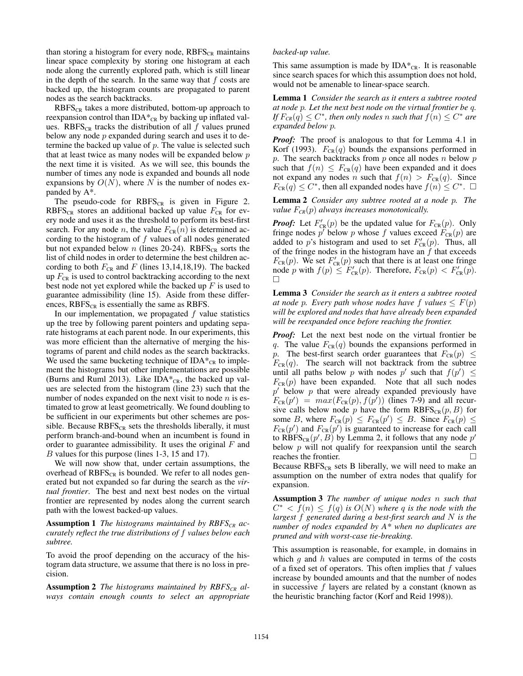than storing a histogram for every node,  $RBFS_{CR}$  maintains linear space complexity by storing one histogram at each node along the currently explored path, which is still linear in the depth of the search. In the same way that  $f$  costs are backed up, the histogram counts are propagated to parent nodes as the search backtracks.

 $RBFS_{CR}$  takes a more distributed, bottom-up approach to reexpansion control than  $IDA*_{CR}$  by backing up inflated values. RBFS<sub>CR</sub> tracks the distribution of all  $f$  values pruned below any node  $p$  expanded during search and uses it to determine the backed up value of  $p$ . The value is selected such that at least twice as many nodes will be expanded below  $p$ the next time it is visited. As we will see, this bounds the number of times any node is expanded and bounds all node expansions by  $O(N)$ , where N is the number of nodes expanded by A\*.

The pseudo-code for  $RBFS_{CR}$  is given in Figure 2.  $RBFS<sub>CR</sub>$  stores an additional backed up value  $F<sub>CR</sub>$  for every node and uses it as the threshold to perform its best-first search. For any node *n*, the value  $F_{CR}(n)$  is determined according to the histogram of  $f$  values of all nodes generated but not expanded below n (lines 20-24).  $RBFS_{CR}$  sorts the list of child nodes in order to determine the best children according to both  $F_{CR}$  and F (lines 13,14,18,19). The backed up  $F_{CR}$  is used to control backtracking according to the next best node not yet explored while the backed up  $F$  is used to guarantee admissibility (line 15). Aside from these differences,  $RBFS_{CR}$  is essentially the same as RBFS.

In our implementation, we propagated  $f$  value statistics up the tree by following parent pointers and updating separate histograms at each parent node. In our experiments, this was more efficient than the alternative of merging the histograms of parent and child nodes as the search backtracks. We used the same bucketing technique of  $IDA*_{CR}$  to implement the histograms but other implementations are possible (Burns and Ruml 2013). Like IDA $*_{CR}$ , the backed up values are selected from the histogram (line 23) such that the number of nodes expanded on the next visit to node  $n$  is estimated to grow at least geometrically. We found doubling to be sufficient in our experiments but other schemes are possible. Because  $RBFS_{CR}$  sets the thresholds liberally, it must perform branch-and-bound when an incumbent is found in order to guarantee admissibility. It uses the original  $F$  and B values for this purpose (lines 1-3, 15 and 17).

We will now show that, under certain assumptions, the overhead of  $RBFS_{CR}$  is bounded. We refer to all nodes generated but not expanded so far during the search as the *virtual frontier*. The best and next best nodes on the virtual frontier are represented by nodes along the current search path with the lowest backed-up values.

Assumption 1 *The histograms maintained by RBFSCR accurately reflect the true distributions of* f *values below each subtree.*

To avoid the proof depending on the accuracy of the histogram data structure, we assume that there is no loss in precision.

Assumption 2 *The histograms maintained by RBFS<sub>CR</sub> always contain enough counts to select an appropriate*

#### *backed-up value.*

This same assumption is made by  $IDA^*_{CR}$ . It is reasonable since search spaces for which this assumption does not hold, would not be amenable to linear-space search.

Lemma 1 *Consider the search as it enters a subtree rooted at node* p*. Let the next best node on the virtual frontier be* q*. If*  $F_{C R}(q) \leq C^*$ , then only nodes n such that  $f(n) \leq C^*$  are *expanded below* p*.*

*Proof:* The proof is analogous to that for Lemma 4.1 in Korf (1993).  $F_{CR}(q)$  bounds the expansions performed in p. The search backtracks from  $p$  once all nodes  $n$  below  $p$ such that  $f(n) \leq F_{CR}(q)$  have been expanded and it does not expand any nodes n such that  $f(n) > F_{CR}(q)$ . Since  $F_{CR}(q) \leq C^*$ , then all expanded nodes have  $f(n) \leq C^*$ .  $\Box$ 

Lemma 2 *Consider any subtree rooted at a node* p*. The value* F*CR*(p) *always increases monotonically.*

*Proof:* Let  $F'_{CR}(p)$  be the updated value for  $F_{CR}(p)$ . Only fringe nodes  $p'$  below p whose f values exceed  $F_{CR}(p)$  are added to p's histogram and used to set  $F'_{CR}(p)$ . Thus, all of the fringe nodes in the histogram have an  $f$  that exceeds  $F_{CR}(p)$ . We set  $F'_{CR}(p)$  such that there is at least one fringe node p with  $f(p) \leq F'_{CR}(p)$ . Therefore,  $F_{CR}(p) < F'_{CR}(p)$ .

Lemma 3 *Consider the search as it enters a subtree rooted at node* p. Every path whose nodes have f values  $\leq F(p)$ *will be explored and nodes that have already been expanded will be reexpanded once before reaching the frontier.*

*Proof:* Let the next best node on the virtual frontier be q. The value  $F_{CR}(q)$  bounds the expansions performed in p. The best-first search order guarantees that  $F_{CR}(p) \leq$  $F_{CR}(q)$ . The search will not backtrack from the subtree until all paths below p with nodes p' such that  $f(p') \leq$  $F_{CR}(p)$  have been expanded. Note that all such nodes  $p'$  below p that were already expanded previously have  $F_{CR}(p') = max(F_{CR}(p), f(p'))$  (lines 7-9) and all recursive calls below node p have the form  $RBFS_{CR}(p, B)$  for some B, where  $F_{CR}(p) \leq F_{CR}(p') \leq B$ . Since  $F_{CR}(p) \leq$  $F_{CR}(p')$  and  $F_{CR}(p')$  is guaranteed to increase for each call to  $\widehat{RBF}S_{CR}(p', B)$  by Lemma 2, it follows that any node  $p'$ below  $p$  will not qualify for reexpansion until the search reaches the frontier.

Because  $RBFS_{CR}$  sets B liberally, we will need to make an assumption on the number of extra nodes that qualify for expansion.

Assumption 3 *The number of unique nodes* n *such that*  $C^* < \overline{f}(n) \leq f(q)$  is  $O(N)$  where q is the node with the *largest* f *generated during a best-first search and* N *is the number of nodes expanded by A\* when no duplicates are pruned and with worst-case tie-breaking.*

This assumption is reasonable, for example, in domains in which  $g$  and  $h$  values are computed in terms of the costs of a fixed set of operators. This often implies that  $f$  values increase by bounded amounts and that the number of nodes in successive  $f$  layers are related by a constant (known as the heuristic branching factor (Korf and Reid 1998)).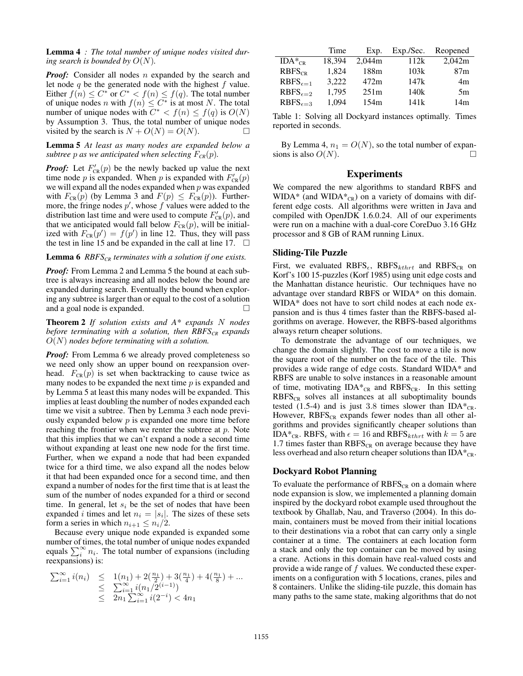Lemma 4 *: The total number of unique nodes visited during search is bounded by*  $O(N)$ *.* 

*Proof:* Consider all nodes n expanded by the search and let node  $q$  be the generated node with the highest  $f$  value. Either  $f(n) \leq C^*$  or  $C^* < f(n) \leq f(q)$ . The total number of unique nodes n with  $f(n) \leq C^*$  is at most N. The total number of unique nodes with  $C^* < f(n) \leq f(q)$  is  $O(N)$ by Assumption 3. Thus, the total number of unique nodes visited by the search is  $N + O(N) = O(N)$ .

Lemma 5 *At least as many nodes are expanded below a subtree p as we anticipated when selecting*  $F_{CR}(p)$ *.* 

*Proof:* Let  $F'_{CR}(p)$  be the newly backed up value the next time node p is expanded. When p is expanded with  $F'_{CR}(p)$ we will expand all the nodes expanded when  $p$  was expanded with  $F_{CR}(p)$  (by Lemma 3 and  $F(p) \leq F_{CR}(p)$ ). Furthermore, the fringe nodes  $p'$ , whose  $f$  values were added to the distribution last time and were used to compute  $F'_{CR}(p)$ , and that we anticipated would fall below  $F_{CR}(p)$ , will be initialized with  $F_{CR}(p') = f(p')$  in line 12. Thus, they will pass the test in line 15 and be expanded in the call at line 17.  $\Box$ 

Lemma 6 *RBFSCR terminates with a solution if one exists.*

*Proof:* From Lemma 2 and Lemma 5 the bound at each subtree is always increasing and all nodes below the bound are expanded during search. Eventually the bound when exploring any subtree is larger than or equal to the cost of a solution and a goal node is expanded.

Theorem 2 *If solution exists and A\* expands* N *nodes before terminating with a solution, then RBFSCR expands* O(N) *nodes before terminating with a solution.*

*Proof:* From Lemma 6 we already proved completeness so we need only show an upper bound on reexpansion overhead.  $F_{CR}(p)$  is set when backtracking to cause twice as many nodes to be expanded the next time  $p$  is expanded and by Lemma 5 at least this many nodes will be expanded. This implies at least doubling the number of nodes expanded each time we visit a subtree. Then by Lemma 3 each node previously expanded below  $p$  is expanded one more time before reaching the frontier when we renter the subtree at  $p$ . Note that this implies that we can't expand a node a second time without expanding at least one new node for the first time. Further, when we expand a node that had been expanded twice for a third time, we also expand all the nodes below it that had been expanded once for a second time, and then expand a number of nodes for the first time that is at least the sum of the number of nodes expanded for a third or second time. In general, let  $s_i$  be the set of nodes that have been expanded *i* times and let  $n_i = |s_i|$ . The sizes of these sets form a series in which  $n_{i+1} \leq n_i/2$ .

Because every unique node expanded is expanded some number of times, the total number of unique nodes expanded equals  $\sum_i^{\infty} n_i$ . The total number of expansions (including reexpansions) is:

$$
\begin{array}{lcl} \sum_{i=1}^{\infty} i(n_i) & \leq & 1(n_1) + 2(\frac{n_1}{2}) + 3(\frac{n_1}{4}) + 4(\frac{n_1}{8}) + \ldots \\ & \leq & \sum_{i=1}^{\infty} i(n_1/2^{(i-1)}) \\ & \leq & 2n_1 \sum_{i=1}^{\infty} i(2^{-i}) < 4n_1 \end{array}
$$

|                     | Time   | Exp.   | Exp./Sec. | Reopened |
|---------------------|--------|--------|-----------|----------|
| $IDA*_{CR}$         | 18.394 | 2.044m | 112k      | 2,042m   |
| $RBFS_{CR}$         | 1.824  | 188m   | 103k      | 87m      |
| $RBFS_{\epsilon=1}$ | 3.222  | 472m   | 147k      | 4m       |
| $RBFS_{\epsilon=2}$ | 1.795  | 251m   | 140k      | 5m       |
| $RBFS_{\epsilon=3}$ | 1.094  | 154m   | 141k      | 14m      |

Table 1: Solving all Dockyard instances optimally. Times reported in seconds.

By Lemma 4,  $n_1 = O(N)$ , so the total number of expansions is also  $O(N)$ .

### Experiments

We compared the new algorithms to standard RBFS and WIDA\* (and WIDA $*_{CR}$ ) on a variety of domains with different edge costs. All algorithms were written in Java and compiled with OpenJDK 1.6.0.24. All of our experiments were run on a machine with a dual-core CoreDuo 3.16 GHz processor and 8 GB of RAM running Linux.

#### Sliding-Tile Puzzle

First, we evaluated RBFS<sub> $\epsilon$ </sub>, RBFS<sub>kthrt</sub> and RBFS<sub>CR</sub> on Korf's 100 15-puzzles (Korf 1985) using unit edge costs and the Manhattan distance heuristic. Our techniques have no advantage over standard RBFS or WIDA\* on this domain. WIDA\* does not have to sort child nodes at each node expansion and is thus 4 times faster than the RBFS-based algorithms on average. However, the RBFS-based algorithms always return cheaper solutions.

To demonstrate the advantage of our techniques, we change the domain slightly. The cost to move a tile is now the square root of the number on the face of the tile. This provides a wide range of edge costs. Standard WIDA\* and RBFS are unable to solve instances in a reasonable amount of time, motivating  $IDA^*_{CR}$  and  $RBFS_{CR}$ . In this setting  $RBFS_{CR}$  solves all instances at all suboptimality bounds tested (1.5-4) and is just 3.8 times slower than  $IDA*_{CR}$ . However,  $RBFS_{CR}$  expands fewer nodes than all other algorithms and provides significantly cheaper solutions than IDA\*<sub>CR</sub>. RBFS<sub> $\epsilon$ </sub> with  $\epsilon = 16$  and RBFS<sub>kthrt</sub> with  $k = 5$  are 1.7 times faster than  $RBFS_{CR}$  on average because they have less overhead and also return cheaper solutions than  $IDA^*_{CR}$ .

### Dockyard Robot Planning

To evaluate the performance of  $RBFS_{CR}$  on a domain where node expansion is slow, we implemented a planning domain inspired by the dockyard robot example used throughout the textbook by Ghallab, Nau, and Traverso (2004). In this domain, containers must be moved from their initial locations to their destinations via a robot that can carry only a single container at a time. The containers at each location form a stack and only the top container can be moved by using a crane. Actions in this domain have real-valued costs and provide a wide range of  $f$  values. We conducted these experiments on a configuration with 5 locations, cranes, piles and 8 containers. Unlike the sliding-tile puzzle, this domain has many paths to the same state, making algorithms that do not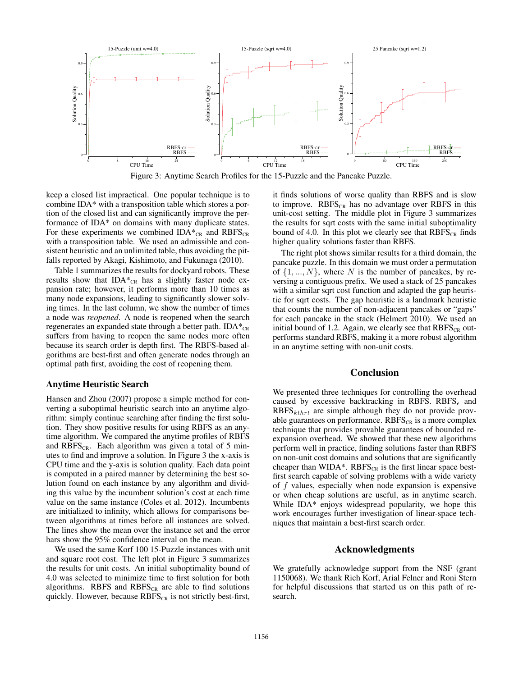

Figure 3: Anytime Search Profiles for the 15-Puzzle and the Pancake Puzzle.

keep a closed list impractical. One popular technique is to combine IDA\* with a transposition table which stores a portion of the closed list and can significantly improve the performance of IDA\* on domains with many duplicate states. For these experiments we combined  $IDA*_{CR}$  and  $RBFS_{CR}$ with a transposition table. We used an admissible and consistent heuristic and an unlimited table, thus avoiding the pitfalls reported by Akagi, Kishimoto, and Fukunaga (2010).

Table 1 summarizes the results for dockyard robots. These results show that IDA $*_{CR}$  has a slightly faster node expansion rate; however, it performs more than 10 times as many node expansions, leading to significantly slower solving times. In the last column, we show the number of times a node was *reopened*. A node is reopened when the search regenerates an expanded state through a better path.  $IDA^{\ast}_{CR}$ suffers from having to reopen the same nodes more often because its search order is depth first. The RBFS-based algorithms are best-first and often generate nodes through an optimal path first, avoiding the cost of reopening them.

#### Anytime Heuristic Search

Hansen and Zhou (2007) propose a simple method for converting a suboptimal heuristic search into an anytime algorithm: simply continue searching after finding the first solution. They show positive results for using RBFS as an anytime algorithm. We compared the anytime profiles of RBFS and  $RBFS<sub>CR</sub>$ . Each algorithm was given a total of 5 minutes to find and improve a solution. In Figure 3 the x-axis is CPU time and the y-axis is solution quality. Each data point is computed in a paired manner by determining the best solution found on each instance by any algorithm and dividing this value by the incumbent solution's cost at each time value on the same instance (Coles et al. 2012). Incumbents are initialized to infinity, which allows for comparisons between algorithms at times before all instances are solved. The lines show the mean over the instance set and the error bars show the 95% confidence interval on the mean.

We used the same Korf 100 15-Puzzle instances with unit and square root cost. The left plot in Figure 3 summarizes the results for unit costs. An initial suboptimality bound of 4.0 was selected to minimize time to first solution for both algorithms. RBFS and  $RBFS_{CR}$  are able to find solutions quickly. However, because  $RBFS_{CR}$  is not strictly best-first,

it finds solutions of worse quality than RBFS and is slow to improve.  $RBFS_{CR}$  has no advantage over RBFS in this unit-cost setting. The middle plot in Figure 3 summarizes the results for sqrt costs with the same initial suboptimality bound of 4.0. In this plot we clearly see that  $RBFS_{CR}$  finds higher quality solutions faster than RBFS.

The right plot shows similar results for a third domain, the pancake puzzle. In this domain we must order a permutation of  $\{1, ..., N\}$ , where N is the number of pancakes, by reversing a contiguous prefix. We used a stack of 25 pancakes with a similar sqrt cost function and adapted the gap heuristic for sqrt costs. The gap heuristic is a landmark heuristic that counts the number of non-adjacent pancakes or "gaps" for each pancake in the stack (Helmert 2010). We used an initial bound of 1.2. Again, we clearly see that  $RBFS_{CR}$  outperforms standard RBFS, making it a more robust algorithm in an anytime setting with non-unit costs.

#### Conclusion

We presented three techniques for controlling the overhead caused by excessive backtracking in RBFS. RBFS $_{\epsilon}$  and  $RBFS_{kthrt}$  are simple although they do not provide provable guarantees on performance.  $RBFS_{CR}$  is a more complex technique that provides provable guarantees of bounded reexpansion overhead. We showed that these new algorithms perform well in practice, finding solutions faster than RBFS on non-unit cost domains and solutions that are significantly cheaper than WIDA\*.  $RBFS_{CR}$  is the first linear space bestfirst search capable of solving problems with a wide variety of f values, especially when node expansion is expensive or when cheap solutions are useful, as in anytime search. While IDA<sup>\*</sup> enjoys widespread popularity, we hope this work encourages further investigation of linear-space techniques that maintain a best-first search order.

#### Acknowledgments

We gratefully acknowledge support from the NSF (grant 1150068). We thank Rich Korf, Arial Felner and Roni Stern for helpful discussions that started us on this path of research.